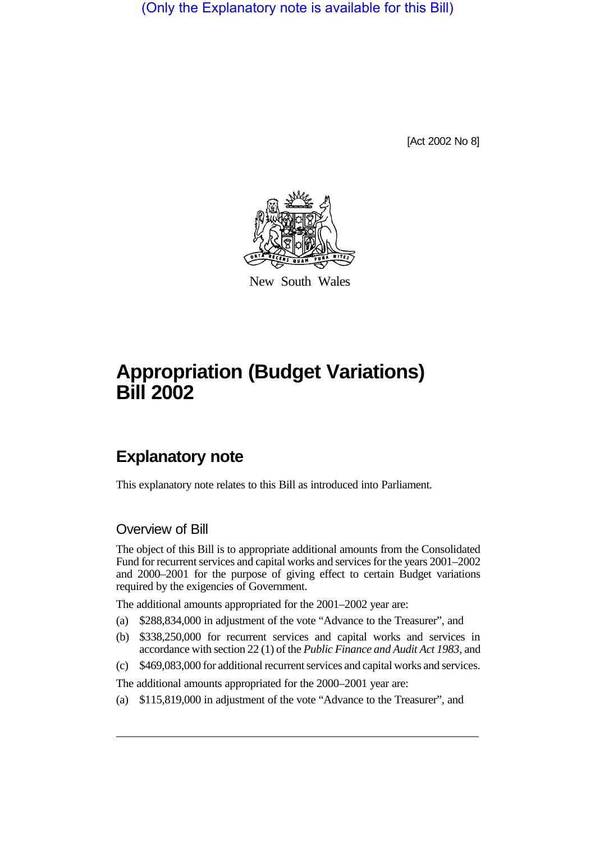(Only the Explanatory note is available for this Bill)

[Act 2002 No 8]



New South Wales

# **Appropriation (Budget Variations) Bill 2002**

# **Explanatory note**

This explanatory note relates to this Bill as introduced into Parliament.

## Overview of Bill

The object of this Bill is to appropriate additional amounts from the Consolidated Fund for recurrent services and capital works and services for the years 2001–2002 and 2000–2001 for the purpose of giving effect to certain Budget variations required by the exigencies of Government.

The additional amounts appropriated for the 2001–2002 year are:

- (a) \$288,834,000 in adjustment of the vote "Advance to the Treasurer", and
- (b) \$338,250,000 for recurrent services and capital works and services in accordance with section 22 (1) of the *Public Finance and Audit Act 1983*, and
- (c) \$469,083,000 for additional recurrent services and capital works and services.

The additional amounts appropriated for the 2000–2001 year are:

(a) \$115,819,000 in adjustment of the vote "Advance to the Treasurer", and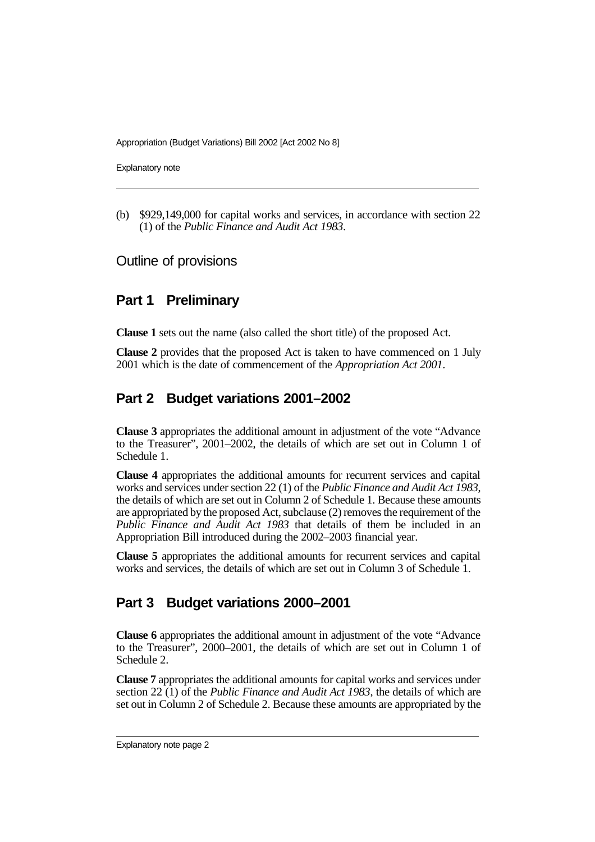Appropriation (Budget Variations) Bill 2002 [Act 2002 No 8]

Explanatory note

(b) \$929,149,000 for capital works and services, in accordance with section 22 (1) of the *Public Finance and Audit Act 1983*.

#### Outline of provisions

# **Part 1 Preliminary**

**Clause 1** sets out the name (also called the short title) of the proposed Act.

**Clause 2** provides that the proposed Act is taken to have commenced on 1 July 2001 which is the date of commencement of the *Appropriation Act 2001*.

# **Part 2 Budget variations 2001–2002**

**Clause 3** appropriates the additional amount in adjustment of the vote "Advance to the Treasurer", 2001–2002, the details of which are set out in Column 1 of Schedule 1.

**Clause 4** appropriates the additional amounts for recurrent services and capital works and services under section 22 (1) of the *Public Finance and Audit Act 1983*, the details of which are set out in Column 2 of Schedule 1. Because these amounts are appropriated by the proposed Act, subclause (2) removes the requirement of the *Public Finance and Audit Act 1983* that details of them be included in an Appropriation Bill introduced during the 2002–2003 financial year.

**Clause 5** appropriates the additional amounts for recurrent services and capital works and services, the details of which are set out in Column 3 of Schedule 1.

## **Part 3 Budget variations 2000–2001**

**Clause 6** appropriates the additional amount in adjustment of the vote "Advance to the Treasurer", 2000–2001, the details of which are set out in Column 1 of Schedule 2.

**Clause 7** appropriates the additional amounts for capital works and services under section 22 (1) of the *Public Finance and Audit Act 1983*, the details of which are set out in Column 2 of Schedule 2. Because these amounts are appropriated by the